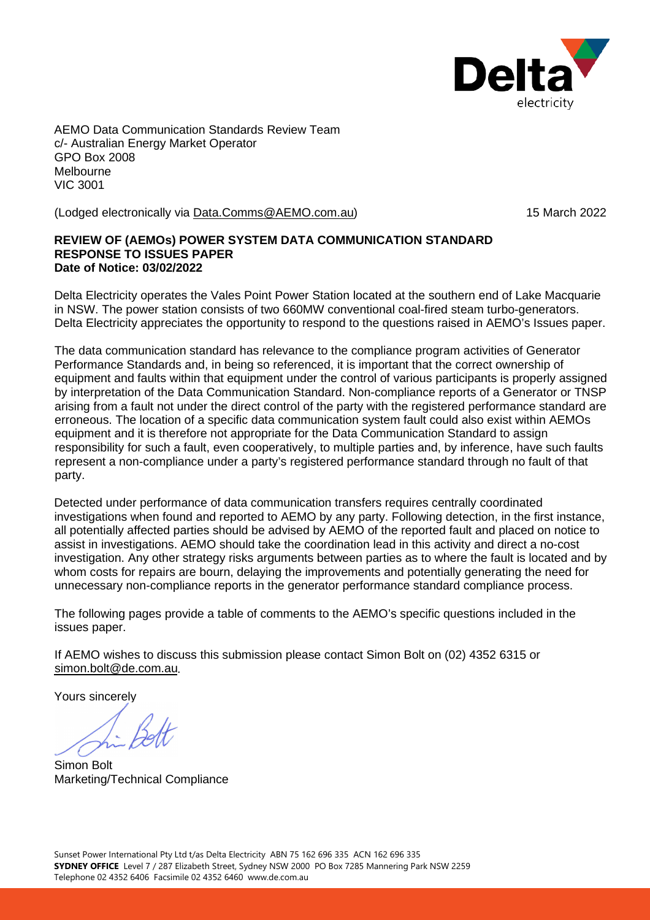

AEMO Data Communication Standards Review Team c/- Australian Energy Market Operator GPO Box 2008 Melbourne VIC 3001

(Lodged electronically via [Data.Comms@AEMO.com.au\)](mailto:Data.Comms@AEMO.com.au) 15 March 2022

## **REVIEW OF (AEMOs) POWER SYSTEM DATA COMMUNICATION STANDARD RESPONSE TO ISSUES PAPER Date of Notice: 03/02/2022**

Delta Electricity operates the Vales Point Power Station located at the southern end of Lake Macquarie in NSW. The power station consists of two 660MW conventional coal-fired steam turbo-generators. Delta Electricity appreciates the opportunity to respond to the questions raised in AEMO's Issues paper.

The data communication standard has relevance to the compliance program activities of Generator Performance Standards and, in being so referenced, it is important that the correct ownership of equipment and faults within that equipment under the control of various participants is properly assigned by interpretation of the Data Communication Standard. Non-compliance reports of a Generator or TNSP arising from a fault not under the direct control of the party with the registered performance standard are erroneous. The location of a specific data communication system fault could also exist within AEMOs equipment and it is therefore not appropriate for the Data Communication Standard to assign responsibility for such a fault, even cooperatively, to multiple parties and, by inference, have such faults represent a non-compliance under a party's registered performance standard through no fault of that party.

Detected under performance of data communication transfers requires centrally coordinated investigations when found and reported to AEMO by any party. Following detection, in the first instance, all potentially affected parties should be advised by AEMO of the reported fault and placed on notice to assist in investigations. AEMO should take the coordination lead in this activity and direct a no-cost investigation. Any other strategy risks arguments between parties as to where the fault is located and by whom costs for repairs are bourn, delaying the improvements and potentially generating the need for unnecessary non-compliance reports in the generator performance standard compliance process.

The following pages provide a table of comments to the AEMO's specific questions included in the issues paper.

If AEMO wishes to discuss this submission please contact Simon Bolt on (02) 4352 6315 or [simon.bolt@de.com.au.](mailto:simon.bolt@de.com.au)

Yours sincerely

Simon Bolt Marketing/Technical Compliance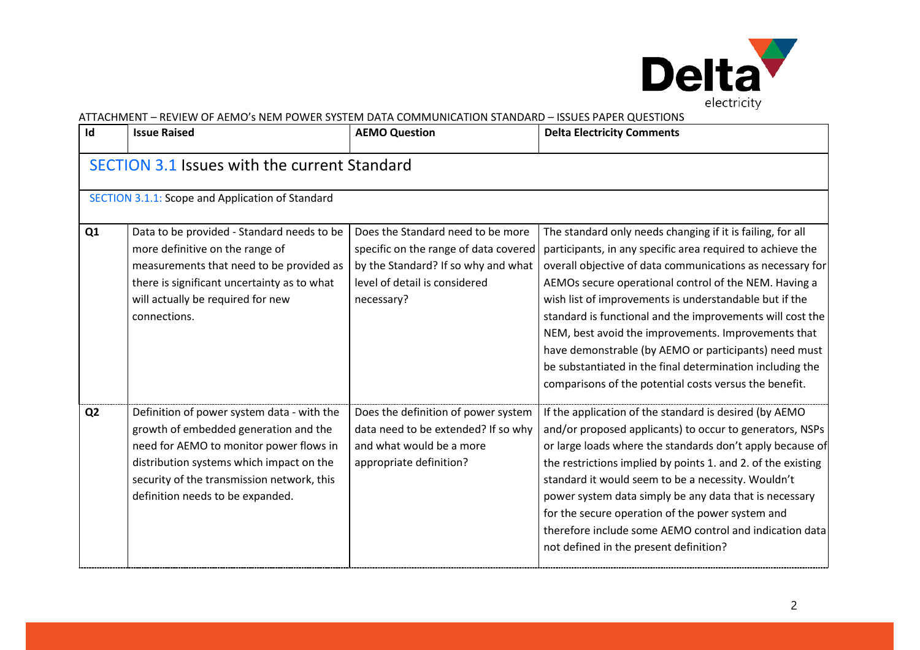

| Id             | <b>Issue Raised</b>                                                                                                                                                                                                                                          | <b>AEMO Question</b>                                                                                                                                             | <b>Delta Electricity Comments</b>                                                                                                                                                                                                                                                                                                                                                                                                                                                                                                                                                                            |  |  |
|----------------|--------------------------------------------------------------------------------------------------------------------------------------------------------------------------------------------------------------------------------------------------------------|------------------------------------------------------------------------------------------------------------------------------------------------------------------|--------------------------------------------------------------------------------------------------------------------------------------------------------------------------------------------------------------------------------------------------------------------------------------------------------------------------------------------------------------------------------------------------------------------------------------------------------------------------------------------------------------------------------------------------------------------------------------------------------------|--|--|
|                | <b>SECTION 3.1 Issues with the current Standard</b>                                                                                                                                                                                                          |                                                                                                                                                                  |                                                                                                                                                                                                                                                                                                                                                                                                                                                                                                                                                                                                              |  |  |
|                | SECTION 3.1.1: Scope and Application of Standard                                                                                                                                                                                                             |                                                                                                                                                                  |                                                                                                                                                                                                                                                                                                                                                                                                                                                                                                                                                                                                              |  |  |
| Q <sub>1</sub> | Data to be provided - Standard needs to be<br>more definitive on the range of<br>measurements that need to be provided as<br>there is significant uncertainty as to what<br>will actually be required for new<br>connections.                                | Does the Standard need to be more<br>specific on the range of data covered<br>by the Standard? If so why and what<br>level of detail is considered<br>necessary? | The standard only needs changing if it is failing, for all<br>participants, in any specific area required to achieve the<br>overall objective of data communications as necessary for<br>AEMOs secure operational control of the NEM. Having a<br>wish list of improvements is understandable but if the<br>standard is functional and the improvements will cost the<br>NEM, best avoid the improvements. Improvements that<br>have demonstrable (by AEMO or participants) need must<br>be substantiated in the final determination including the<br>comparisons of the potential costs versus the benefit. |  |  |
| Q <sub>2</sub> | Definition of power system data - with the<br>growth of embedded generation and the<br>need for AEMO to monitor power flows in<br>distribution systems which impact on the<br>security of the transmission network, this<br>definition needs to be expanded. | Does the definition of power system<br>data need to be extended? If so why<br>and what would be a more<br>appropriate definition?                                | If the application of the standard is desired (by AEMO<br>and/or proposed applicants) to occur to generators, NSPs<br>or large loads where the standards don't apply because of<br>the restrictions implied by points 1. and 2. of the existing<br>standard it would seem to be a necessity. Wouldn't<br>power system data simply be any data that is necessary<br>for the secure operation of the power system and<br>therefore include some AEMO control and indication data<br>not defined in the present definition?                                                                                     |  |  |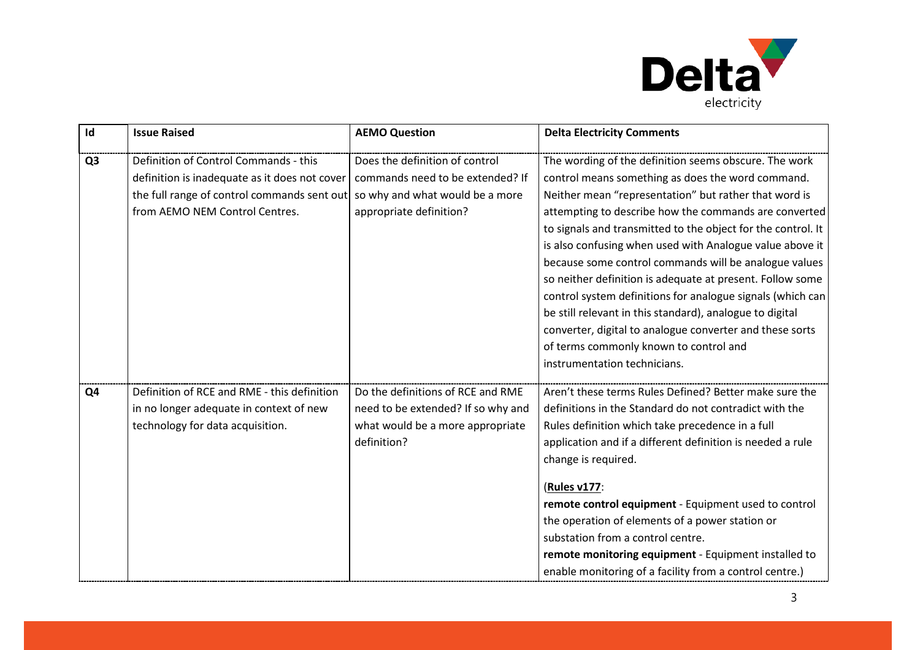

| Id             | <b>Issue Raised</b>                           | <b>AEMO Question</b>               | <b>Delta Electricity Comments</b>                            |
|----------------|-----------------------------------------------|------------------------------------|--------------------------------------------------------------|
| Q <sub>3</sub> | Definition of Control Commands - this         | Does the definition of control     | The wording of the definition seems obscure. The work        |
|                | definition is inadequate as it does not cover | commands need to be extended? If   | control means something as does the word command.            |
|                | the full range of control commands sent out   | so why and what would be a more    | Neither mean "representation" but rather that word is        |
|                | from AEMO NEM Control Centres.                | appropriate definition?            | attempting to describe how the commands are converted        |
|                |                                               |                                    | to signals and transmitted to the object for the control. It |
|                |                                               |                                    | is also confusing when used with Analogue value above it     |
|                |                                               |                                    | because some control commands will be analogue values        |
|                |                                               |                                    | so neither definition is adequate at present. Follow some    |
|                |                                               |                                    | control system definitions for analogue signals (which can   |
|                |                                               |                                    | be still relevant in this standard), analogue to digital     |
|                |                                               |                                    | converter, digital to analogue converter and these sorts     |
|                |                                               |                                    | of terms commonly known to control and                       |
|                |                                               |                                    | instrumentation technicians.                                 |
| Q4             | Definition of RCE and RME - this definition   | Do the definitions of RCE and RME  | Aren't these terms Rules Defined? Better make sure the       |
|                | in no longer adequate in context of new       | need to be extended? If so why and | definitions in the Standard do not contradict with the       |
|                | technology for data acquisition.              | what would be a more appropriate   | Rules definition which take precedence in a full             |
|                |                                               | definition?                        | application and if a different definition is needed a rule   |
|                |                                               |                                    | change is required.                                          |
|                |                                               |                                    | (Rules v177:                                                 |
|                |                                               |                                    | remote control equipment - Equipment used to control         |
|                |                                               |                                    | the operation of elements of a power station or              |
|                |                                               |                                    | substation from a control centre.                            |
|                |                                               |                                    | remote monitoring equipment - Equipment installed to         |
|                |                                               |                                    | enable monitoring of a facility from a control centre.)      |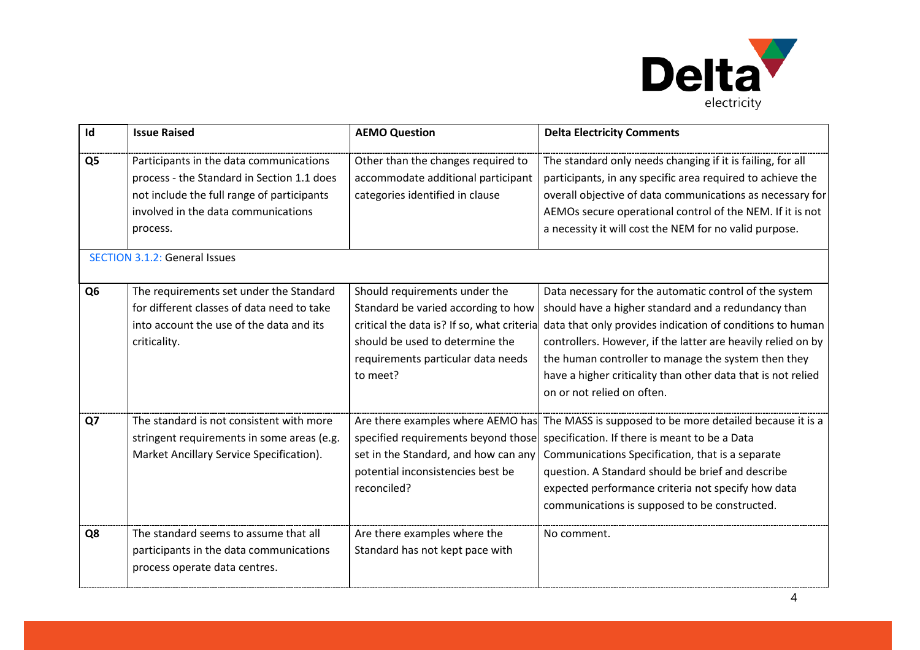

| Id             | <b>Issue Raised</b>                                                                                                                                                                    | <b>AEMO Question</b>                                                                                                                                                                                    | <b>Delta Electricity Comments</b>                                                                                                                                                                                                                                                                                                                                                               |
|----------------|----------------------------------------------------------------------------------------------------------------------------------------------------------------------------------------|---------------------------------------------------------------------------------------------------------------------------------------------------------------------------------------------------------|-------------------------------------------------------------------------------------------------------------------------------------------------------------------------------------------------------------------------------------------------------------------------------------------------------------------------------------------------------------------------------------------------|
| Q <sub>5</sub> | Participants in the data communications<br>process - the Standard in Section 1.1 does<br>not include the full range of participants<br>involved in the data communications<br>process. | Other than the changes required to<br>accommodate additional participant<br>categories identified in clause                                                                                             | The standard only needs changing if it is failing, for all<br>participants, in any specific area required to achieve the<br>overall objective of data communications as necessary for<br>AEMOs secure operational control of the NEM. If it is not<br>a necessity it will cost the NEM for no valid purpose.                                                                                    |
|                | <b>SECTION 3.1.2: General Issues</b>                                                                                                                                                   |                                                                                                                                                                                                         |                                                                                                                                                                                                                                                                                                                                                                                                 |
| Q <sub>6</sub> | The requirements set under the Standard<br>for different classes of data need to take<br>into account the use of the data and its<br>criticality.                                      | Should requirements under the<br>Standard be varied according to how<br>critical the data is? If so, what criteria<br>should be used to determine the<br>requirements particular data needs<br>to meet? | Data necessary for the automatic control of the system<br>should have a higher standard and a redundancy than<br>data that only provides indication of conditions to human<br>controllers. However, if the latter are heavily relied on by<br>the human controller to manage the system then they<br>have a higher criticality than other data that is not relied<br>on or not relied on often. |
| Q7             | The standard is not consistent with more<br>stringent requirements in some areas (e.g.<br>Market Ancillary Service Specification).                                                     | Are there examples where AEMO has<br>specified requirements beyond those<br>set in the Standard, and how can any<br>potential inconsistencies best be<br>reconciled?                                    | The MASS is supposed to be more detailed because it is a<br>specification. If there is meant to be a Data<br>Communications Specification, that is a separate<br>question. A Standard should be brief and describe<br>expected performance criteria not specify how data<br>communications is supposed to be constructed.                                                                       |
| Q8             | The standard seems to assume that all<br>participants in the data communications<br>process operate data centres.                                                                      | Are there examples where the<br>Standard has not kept pace with                                                                                                                                         | No comment.                                                                                                                                                                                                                                                                                                                                                                                     |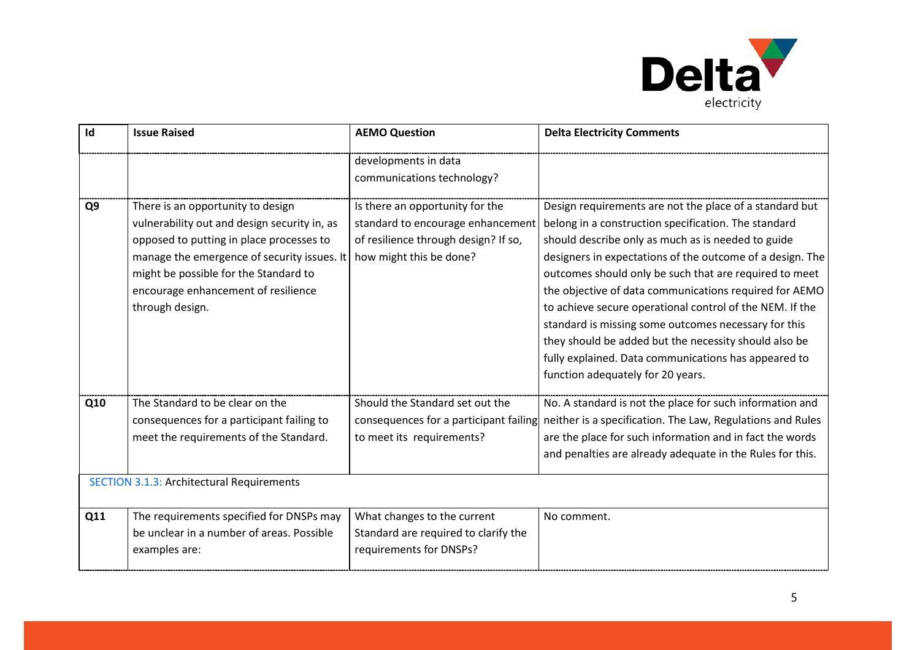

| Id             | <b>Issue Raised</b>                                                                                                                                                                                                                                                             | <b>AEMO Question</b>                                                                                                                    | <b>Delta Electricity Comments</b>                                                                                                                                                                                                                                                                                                                                                                                                                                                                                                                                                                                                |
|----------------|---------------------------------------------------------------------------------------------------------------------------------------------------------------------------------------------------------------------------------------------------------------------------------|-----------------------------------------------------------------------------------------------------------------------------------------|----------------------------------------------------------------------------------------------------------------------------------------------------------------------------------------------------------------------------------------------------------------------------------------------------------------------------------------------------------------------------------------------------------------------------------------------------------------------------------------------------------------------------------------------------------------------------------------------------------------------------------|
|                |                                                                                                                                                                                                                                                                                 | developments in data<br>communications technology?                                                                                      |                                                                                                                                                                                                                                                                                                                                                                                                                                                                                                                                                                                                                                  |
| Q <sub>9</sub> | There is an opportunity to design<br>vulnerability out and design security in, as<br>opposed to putting in place processes to<br>manage the emergence of security issues. It<br>might be possible for the Standard to<br>encourage enhancement of resilience<br>through design. | Is there an opportunity for the<br>standard to encourage enhancement<br>of resilience through design? If so,<br>how might this be done? | Design requirements are not the place of a standard but<br>belong in a construction specification. The standard<br>should describe only as much as is needed to guide<br>designers in expectations of the outcome of a design. The<br>outcomes should only be such that are required to meet<br>the objective of data communications required for AEMO<br>to achieve secure operational control of the NEM. If the<br>standard is missing some outcomes necessary for this<br>they should be added but the necessity should also be<br>fully explained. Data communications has appeared to<br>function adequately for 20 years. |
| Q10            | The Standard to be clear on the<br>consequences for a participant failing to<br>meet the requirements of the Standard.                                                                                                                                                          | Should the Standard set out the<br>consequences for a participant failing<br>to meet its requirements?                                  | No. A standard is not the place for such information and<br>neither is a specification. The Law, Regulations and Rules<br>are the place for such information and in fact the words<br>and penalties are already adequate in the Rules for this.                                                                                                                                                                                                                                                                                                                                                                                  |
|                | <b>SECTION 3.1.3: Architectural Requirements</b>                                                                                                                                                                                                                                |                                                                                                                                         |                                                                                                                                                                                                                                                                                                                                                                                                                                                                                                                                                                                                                                  |
| Q11            | The requirements specified for DNSPs may<br>be unclear in a number of areas. Possible<br>examples are:                                                                                                                                                                          | What changes to the current<br>Standard are required to clarify the<br>requirements for DNSPs?                                          | No comment.                                                                                                                                                                                                                                                                                                                                                                                                                                                                                                                                                                                                                      |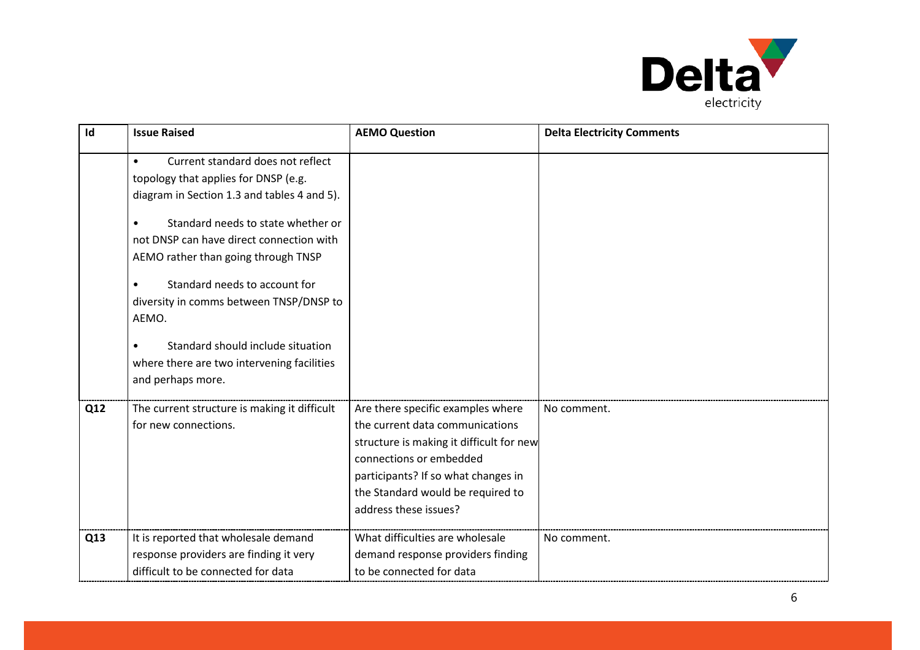

| Id  | <b>Issue Raised</b>                                                                                                                                                                                                                                                                                                                                                                                                                                                      | <b>AEMO Question</b>                                                                                                                                                                                                                             | <b>Delta Electricity Comments</b> |
|-----|--------------------------------------------------------------------------------------------------------------------------------------------------------------------------------------------------------------------------------------------------------------------------------------------------------------------------------------------------------------------------------------------------------------------------------------------------------------------------|--------------------------------------------------------------------------------------------------------------------------------------------------------------------------------------------------------------------------------------------------|-----------------------------------|
|     | Current standard does not reflect<br>$\bullet$<br>topology that applies for DNSP (e.g.<br>diagram in Section 1.3 and tables 4 and 5).<br>Standard needs to state whether or<br>not DNSP can have direct connection with<br>AEMO rather than going through TNSP<br>Standard needs to account for<br>$\bullet$<br>diversity in comms between TNSP/DNSP to<br>AEMO.<br>Standard should include situation<br>where there are two intervening facilities<br>and perhaps more. |                                                                                                                                                                                                                                                  |                                   |
| Q12 | The current structure is making it difficult<br>for new connections.                                                                                                                                                                                                                                                                                                                                                                                                     | Are there specific examples where<br>the current data communications<br>structure is making it difficult for new<br>connections or embedded<br>participants? If so what changes in<br>the Standard would be required to<br>address these issues? | No comment.                       |
| Q13 | It is reported that wholesale demand<br>response providers are finding it very<br>difficult to be connected for data                                                                                                                                                                                                                                                                                                                                                     | What difficulties are wholesale<br>demand response providers finding<br>to be connected for data                                                                                                                                                 | No comment.                       |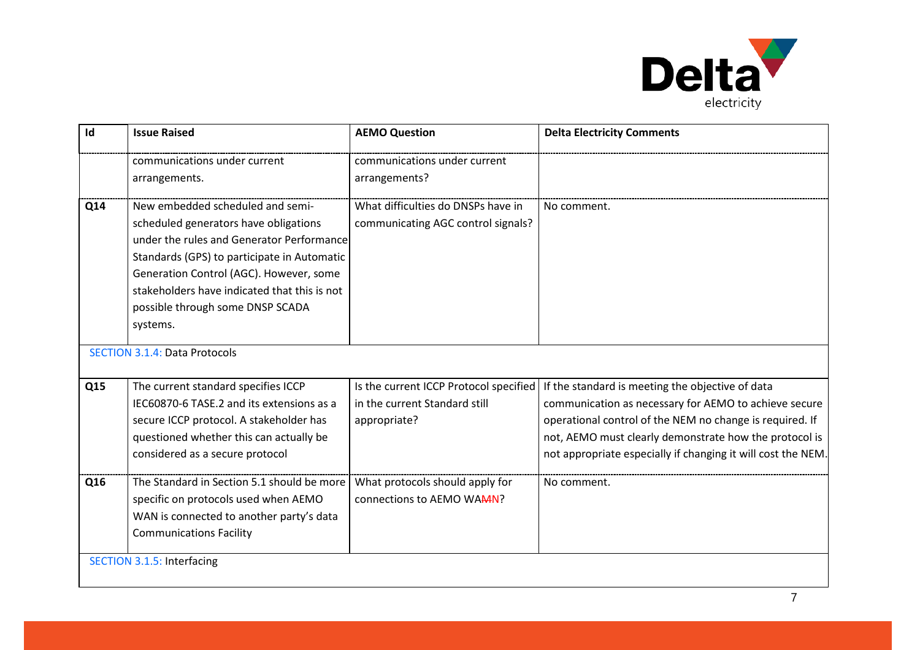

| Id  | <b>Issue Raised</b>                                                                                                                                                                                       | <b>AEMO Question</b>                                                                    | <b>Delta Electricity Comments</b>                                                                                                                                                                                                                                                               |
|-----|-----------------------------------------------------------------------------------------------------------------------------------------------------------------------------------------------------------|-----------------------------------------------------------------------------------------|-------------------------------------------------------------------------------------------------------------------------------------------------------------------------------------------------------------------------------------------------------------------------------------------------|
|     | communications under current                                                                                                                                                                              | communications under current                                                            |                                                                                                                                                                                                                                                                                                 |
|     | arrangements.                                                                                                                                                                                             | arrangements?                                                                           |                                                                                                                                                                                                                                                                                                 |
| Q14 | New embedded scheduled and semi-<br>scheduled generators have obligations<br>under the rules and Generator Performance<br>Standards (GPS) to participate in Automatic                                     | What difficulties do DNSPs have in<br>communicating AGC control signals?                | No comment.                                                                                                                                                                                                                                                                                     |
|     | Generation Control (AGC). However, some<br>stakeholders have indicated that this is not<br>possible through some DNSP SCADA<br>systems.                                                                   |                                                                                         |                                                                                                                                                                                                                                                                                                 |
|     | <b>SECTION 3.1.4: Data Protocols</b>                                                                                                                                                                      |                                                                                         |                                                                                                                                                                                                                                                                                                 |
| Q15 | The current standard specifies ICCP<br>IEC60870-6 TASE.2 and its extensions as a<br>secure ICCP protocol. A stakeholder has<br>questioned whether this can actually be<br>considered as a secure protocol | Is the current ICCP Protocol specified<br>in the current Standard still<br>appropriate? | If the standard is meeting the objective of data<br>communication as necessary for AEMO to achieve secure<br>operational control of the NEM no change is required. If<br>not, AEMO must clearly demonstrate how the protocol is<br>not appropriate especially if changing it will cost the NEM. |
| Q16 | The Standard in Section 5.1 should be more<br>specific on protocols used when AEMO<br>WAN is connected to another party's data<br><b>Communications Facility</b>                                          | What protocols should apply for<br>connections to AEMO WAAN?                            | No comment.                                                                                                                                                                                                                                                                                     |
|     | <b>SECTION 3.1.5: Interfacing</b>                                                                                                                                                                         |                                                                                         |                                                                                                                                                                                                                                                                                                 |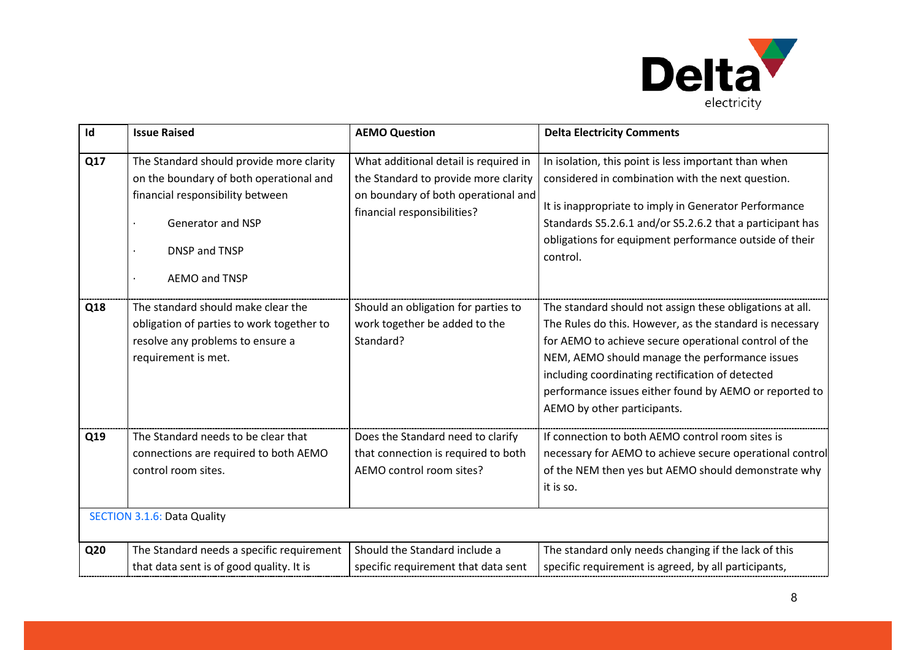

| Id  | <b>Issue Raised</b>                                                                                                                                                            | <b>AEMO Question</b>                                                                                                                                | <b>Delta Electricity Comments</b>                                                                                                                                                                                                                                                                                                                                            |
|-----|--------------------------------------------------------------------------------------------------------------------------------------------------------------------------------|-----------------------------------------------------------------------------------------------------------------------------------------------------|------------------------------------------------------------------------------------------------------------------------------------------------------------------------------------------------------------------------------------------------------------------------------------------------------------------------------------------------------------------------------|
| Q17 | The Standard should provide more clarity<br>on the boundary of both operational and<br>financial responsibility between<br>Generator and NSP<br>DNSP and TNSP<br>AEMO and TNSP | What additional detail is required in<br>the Standard to provide more clarity<br>on boundary of both operational and<br>financial responsibilities? | In isolation, this point is less important than when<br>considered in combination with the next question.<br>It is inappropriate to imply in Generator Performance<br>Standards S5.2.6.1 and/or S5.2.6.2 that a participant has<br>obligations for equipment performance outside of their<br>control.                                                                        |
| Q18 | The standard should make clear the<br>obligation of parties to work together to<br>resolve any problems to ensure a<br>requirement is met.                                     | Should an obligation for parties to<br>work together be added to the<br>Standard?                                                                   | The standard should not assign these obligations at all.<br>The Rules do this. However, as the standard is necessary<br>for AEMO to achieve secure operational control of the<br>NEM, AEMO should manage the performance issues<br>including coordinating rectification of detected<br>performance issues either found by AEMO or reported to<br>AEMO by other participants. |
| Q19 | The Standard needs to be clear that<br>connections are required to both AEMO<br>control room sites.                                                                            | Does the Standard need to clarify<br>that connection is required to both<br>AEMO control room sites?                                                | If connection to both AEMO control room sites is<br>necessary for AEMO to achieve secure operational control<br>of the NEM then yes but AEMO should demonstrate why<br>it is so.                                                                                                                                                                                             |
|     | <b>SECTION 3.1.6: Data Quality</b>                                                                                                                                             |                                                                                                                                                     |                                                                                                                                                                                                                                                                                                                                                                              |
| Q20 | The Standard needs a specific requirement<br>that data sent is of good quality. It is                                                                                          | Should the Standard include a<br>specific requirement that data sent                                                                                | The standard only needs changing if the lack of this<br>specific requirement is agreed, by all participants,                                                                                                                                                                                                                                                                 |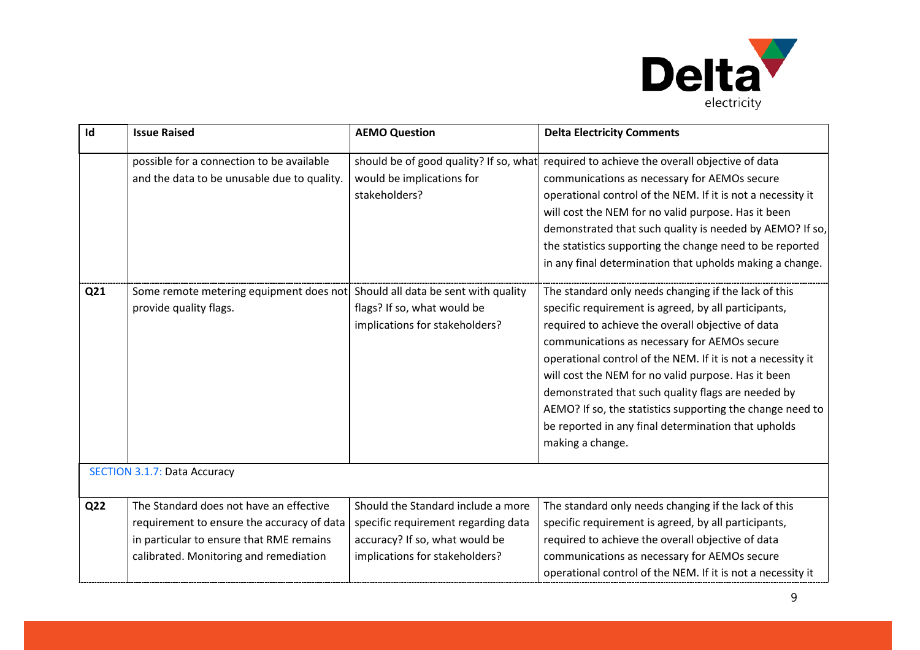

| Id  | <b>Issue Raised</b>                                                                                                                                                         | <b>AEMO Question</b>                                                                                                                          | <b>Delta Electricity Comments</b>                                                                                                                                                                                                                                                                                                                                                                                                                                             |
|-----|-----------------------------------------------------------------------------------------------------------------------------------------------------------------------------|-----------------------------------------------------------------------------------------------------------------------------------------------|-------------------------------------------------------------------------------------------------------------------------------------------------------------------------------------------------------------------------------------------------------------------------------------------------------------------------------------------------------------------------------------------------------------------------------------------------------------------------------|
| Q21 | possible for a connection to be available<br>and the data to be unusable due to quality.<br>Some remote metering equipment does not                                         | should be of good quality? If so, what<br>would be implications for<br>stakeholders?<br>Should all data be sent with quality                  | required to achieve the overall objective of data<br>communications as necessary for AEMOs secure<br>operational control of the NEM. If it is not a necessity it<br>will cost the NEM for no valid purpose. Has it been<br>demonstrated that such quality is needed by AEMO? If so,<br>the statistics supporting the change need to be reported<br>in any final determination that upholds making a change.<br>The standard only needs changing if the lack of this           |
|     | provide quality flags.                                                                                                                                                      | flags? If so, what would be<br>implications for stakeholders?                                                                                 | specific requirement is agreed, by all participants,<br>required to achieve the overall objective of data<br>communications as necessary for AEMOs secure<br>operational control of the NEM. If it is not a necessity it<br>will cost the NEM for no valid purpose. Has it been<br>demonstrated that such quality flags are needed by<br>AEMO? If so, the statistics supporting the change need to<br>be reported in any final determination that upholds<br>making a change. |
|     | <b>SECTION 3.1.7: Data Accuracy</b>                                                                                                                                         |                                                                                                                                               |                                                                                                                                                                                                                                                                                                                                                                                                                                                                               |
| Q22 | The Standard does not have an effective<br>requirement to ensure the accuracy of data<br>in particular to ensure that RME remains<br>calibrated. Monitoring and remediation | Should the Standard include a more<br>specific requirement regarding data<br>accuracy? If so, what would be<br>implications for stakeholders? | The standard only needs changing if the lack of this<br>specific requirement is agreed, by all participants,<br>required to achieve the overall objective of data<br>communications as necessary for AEMOs secure<br>operational control of the NEM. If it is not a necessity it                                                                                                                                                                                              |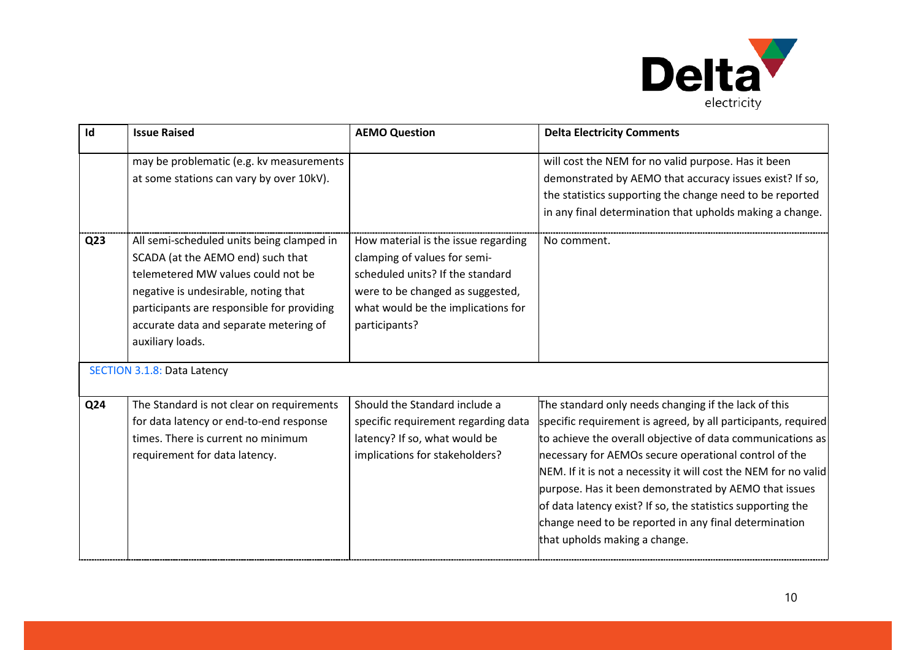

| Id              | <b>Issue Raised</b>                                                                                                                                                                                                                                                                                            | <b>AEMO Question</b>                                                                                                                                                                               | <b>Delta Electricity Comments</b>                                                                                                                                                                                                                                                                                                                                                                                                                                                                                                 |
|-----------------|----------------------------------------------------------------------------------------------------------------------------------------------------------------------------------------------------------------------------------------------------------------------------------------------------------------|----------------------------------------------------------------------------------------------------------------------------------------------------------------------------------------------------|-----------------------------------------------------------------------------------------------------------------------------------------------------------------------------------------------------------------------------------------------------------------------------------------------------------------------------------------------------------------------------------------------------------------------------------------------------------------------------------------------------------------------------------|
|                 | may be problematic (e.g. kv measurements<br>at some stations can vary by over 10kV).                                                                                                                                                                                                                           |                                                                                                                                                                                                    | will cost the NEM for no valid purpose. Has it been<br>demonstrated by AEMO that accuracy issues exist? If so,<br>the statistics supporting the change need to be reported<br>in any final determination that upholds making a change.                                                                                                                                                                                                                                                                                            |
| Q <sub>23</sub> | All semi-scheduled units being clamped in<br>SCADA (at the AEMO end) such that<br>telemetered MW values could not be<br>negative is undesirable, noting that<br>participants are responsible for providing<br>accurate data and separate metering of<br>auxiliary loads.<br><b>SECTION 3.1.8: Data Latency</b> | How material is the issue regarding<br>clamping of values for semi-<br>scheduled units? If the standard<br>were to be changed as suggested,<br>what would be the implications for<br>participants? | No comment.                                                                                                                                                                                                                                                                                                                                                                                                                                                                                                                       |
| Q <sub>24</sub> | The Standard is not clear on requirements<br>for data latency or end-to-end response<br>times. There is current no minimum<br>requirement for data latency.                                                                                                                                                    | Should the Standard include a<br>specific requirement regarding data<br>latency? If so, what would be<br>implications for stakeholders?                                                            | The standard only needs changing if the lack of this<br>specific requirement is agreed, by all participants, required<br>to achieve the overall objective of data communications as<br>necessary for AEMOs secure operational control of the<br>NEM. If it is not a necessity it will cost the NEM for no valid<br>purpose. Has it been demonstrated by AEMO that issues<br>of data latency exist? If so, the statistics supporting the<br>change need to be reported in any final determination<br>that upholds making a change. |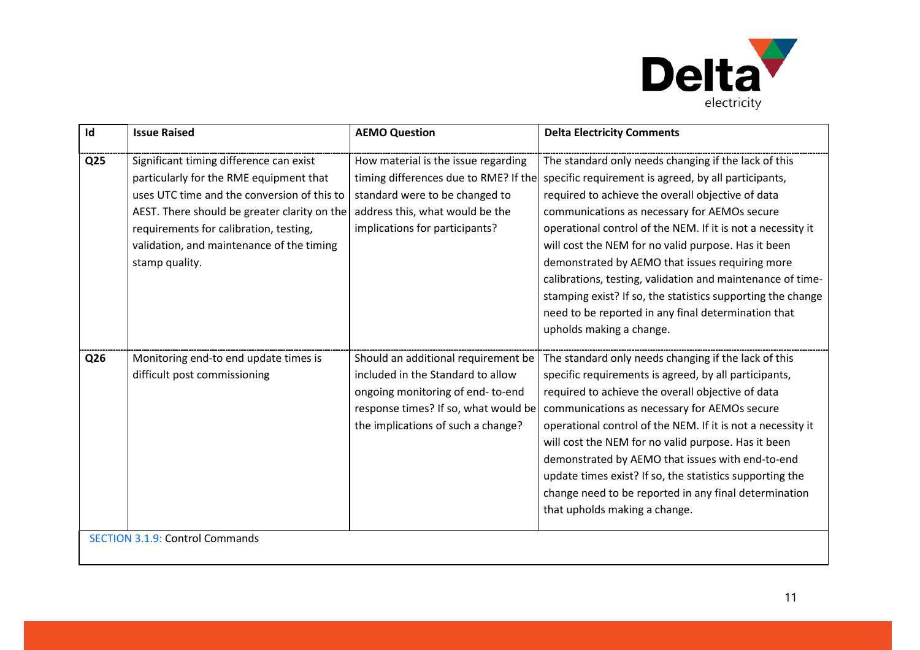

| Id              | <b>Issue Raised</b>                                                                                                                                                                                                                                                                        | <b>AEMO Question</b>                                                                                                                                                                       | <b>Delta Electricity Comments</b>                                                                                                                                                                                                                                                                                                                                                                                                                                                                                                                                                                          |
|-----------------|--------------------------------------------------------------------------------------------------------------------------------------------------------------------------------------------------------------------------------------------------------------------------------------------|--------------------------------------------------------------------------------------------------------------------------------------------------------------------------------------------|------------------------------------------------------------------------------------------------------------------------------------------------------------------------------------------------------------------------------------------------------------------------------------------------------------------------------------------------------------------------------------------------------------------------------------------------------------------------------------------------------------------------------------------------------------------------------------------------------------|
| Q <sub>25</sub> | Significant timing difference can exist<br>particularly for the RME equipment that<br>uses UTC time and the conversion of this to<br>AEST. There should be greater clarity on the<br>requirements for calibration, testing,<br>validation, and maintenance of the timing<br>stamp quality. | How material is the issue regarding<br>timing differences due to RME? If the<br>standard were to be changed to<br>address this, what would be the<br>implications for participants?        | The standard only needs changing if the lack of this<br>specific requirement is agreed, by all participants,<br>required to achieve the overall objective of data<br>communications as necessary for AEMOs secure<br>operational control of the NEM. If it is not a necessity it<br>will cost the NEM for no valid purpose. Has it been<br>demonstrated by AEMO that issues requiring more<br>calibrations, testing, validation and maintenance of time-<br>stamping exist? If so, the statistics supporting the change<br>need to be reported in any final determination that<br>upholds making a change. |
| Q26             | Monitoring end-to end update times is<br>difficult post commissioning                                                                                                                                                                                                                      | Should an additional requirement be<br>included in the Standard to allow<br>ongoing monitoring of end-to-end<br>response times? If so, what would be<br>the implications of such a change? | The standard only needs changing if the lack of this<br>specific requirements is agreed, by all participants,<br>required to achieve the overall objective of data<br>communications as necessary for AEMOs secure<br>operational control of the NEM. If it is not a necessity it<br>will cost the NEM for no valid purpose. Has it been<br>demonstrated by AEMO that issues with end-to-end<br>update times exist? If so, the statistics supporting the<br>change need to be reported in any final determination<br>that upholds making a change.                                                         |
|                 | <b>SECTION 3.1.9: Control Commands</b>                                                                                                                                                                                                                                                     |                                                                                                                                                                                            |                                                                                                                                                                                                                                                                                                                                                                                                                                                                                                                                                                                                            |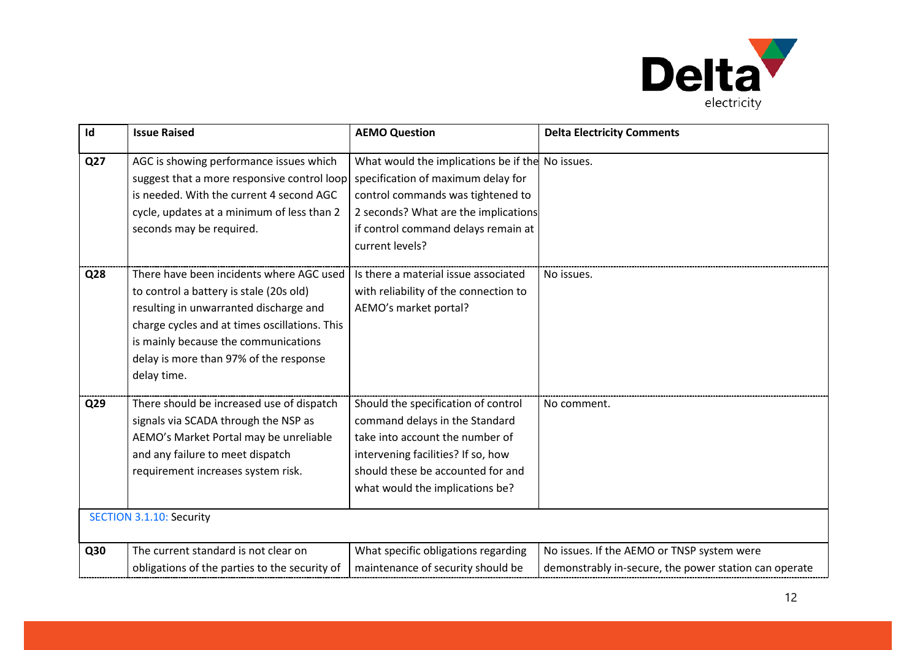

| Id  | <b>Issue Raised</b>                                                                                                                                                                                                                                                             | <b>AEMO Question</b>                                                                                                                                                                                                          | <b>Delta Electricity Comments</b>                                                                   |
|-----|---------------------------------------------------------------------------------------------------------------------------------------------------------------------------------------------------------------------------------------------------------------------------------|-------------------------------------------------------------------------------------------------------------------------------------------------------------------------------------------------------------------------------|-----------------------------------------------------------------------------------------------------|
| Q27 | AGC is showing performance issues which<br>suggest that a more responsive control loop<br>is needed. With the current 4 second AGC<br>cycle, updates at a minimum of less than 2<br>seconds may be required.                                                                    | What would the implications be if the No issues.<br>specification of maximum delay for<br>control commands was tightened to<br>2 seconds? What are the implications<br>if control command delays remain at<br>current levels? |                                                                                                     |
| Q28 | There have been incidents where AGC used<br>to control a battery is stale (20s old)<br>resulting in unwarranted discharge and<br>charge cycles and at times oscillations. This<br>is mainly because the communications<br>delay is more than 97% of the response<br>delay time. | Is there a material issue associated<br>with reliability of the connection to<br>AEMO's market portal?                                                                                                                        | No issues.                                                                                          |
| Q29 | There should be increased use of dispatch<br>signals via SCADA through the NSP as<br>AEMO's Market Portal may be unreliable<br>and any failure to meet dispatch<br>requirement increases system risk.                                                                           | Should the specification of control<br>command delays in the Standard<br>take into account the number of<br>intervening facilities? If so, how<br>should these be accounted for and<br>what would the implications be?        | No comment.                                                                                         |
|     | <b>SECTION 3.1.10: Security</b>                                                                                                                                                                                                                                                 |                                                                                                                                                                                                                               |                                                                                                     |
| Q30 | The current standard is not clear on<br>obligations of the parties to the security of                                                                                                                                                                                           | What specific obligations regarding<br>maintenance of security should be                                                                                                                                                      | No issues. If the AEMO or TNSP system were<br>demonstrably in-secure, the power station can operate |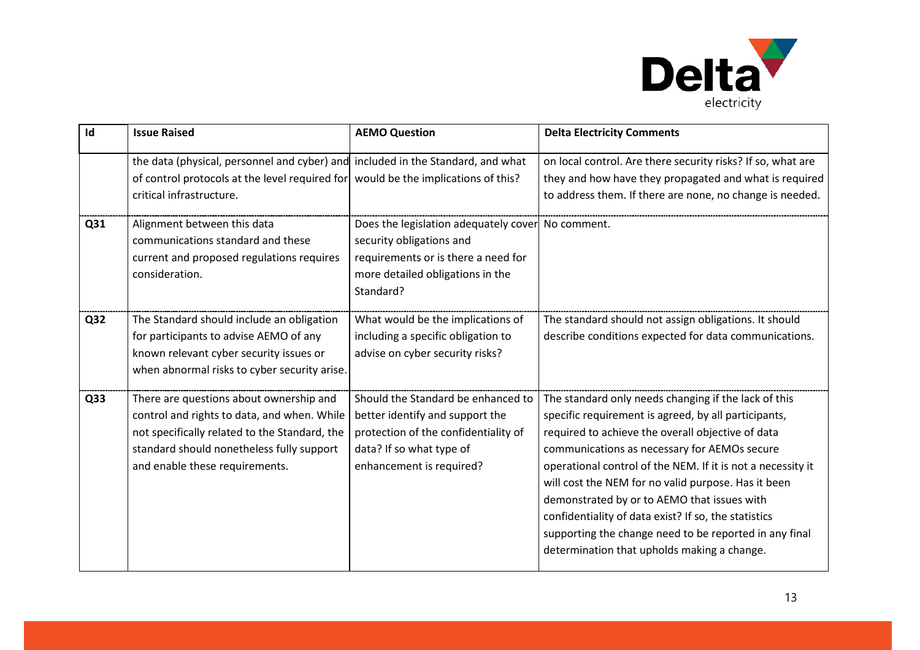

| Id              | <b>Issue Raised</b>                                                                                                                                                                                                    | <b>AEMO Question</b>                                                                                                                                                  | <b>Delta Electricity Comments</b>                                                                                                                                                                                                                                                                                                                                                                                                                                                                                                                       |
|-----------------|------------------------------------------------------------------------------------------------------------------------------------------------------------------------------------------------------------------------|-----------------------------------------------------------------------------------------------------------------------------------------------------------------------|---------------------------------------------------------------------------------------------------------------------------------------------------------------------------------------------------------------------------------------------------------------------------------------------------------------------------------------------------------------------------------------------------------------------------------------------------------------------------------------------------------------------------------------------------------|
|                 | the data (physical, personnel and cyber) and included in the Standard, and what<br>of control protocols at the level required for would be the implications of this?<br>critical infrastructure.                       |                                                                                                                                                                       | on local control. Are there security risks? If so, what are<br>they and how have they propagated and what is required<br>to address them. If there are none, no change is needed.                                                                                                                                                                                                                                                                                                                                                                       |
| Q31             | Alignment between this data<br>communications standard and these<br>current and proposed regulations requires<br>consideration.                                                                                        | Does the legislation adequately cover No comment.<br>security obligations and<br>requirements or is there a need for<br>more detailed obligations in the<br>Standard? |                                                                                                                                                                                                                                                                                                                                                                                                                                                                                                                                                         |
| Q32             | The Standard should include an obligation<br>for participants to advise AEMO of any<br>known relevant cyber security issues or<br>when abnormal risks to cyber security arise.                                         | What would be the implications of<br>including a specific obligation to<br>advise on cyber security risks?                                                            | The standard should not assign obligations. It should<br>describe conditions expected for data communications.                                                                                                                                                                                                                                                                                                                                                                                                                                          |
| Q <sub>33</sub> | There are questions about ownership and<br>control and rights to data, and when. While<br>not specifically related to the Standard, the<br>standard should nonetheless fully support<br>and enable these requirements. | Should the Standard be enhanced to<br>better identify and support the<br>protection of the confidentiality of<br>data? If so what type of<br>enhancement is required? | The standard only needs changing if the lack of this<br>specific requirement is agreed, by all participants,<br>required to achieve the overall objective of data<br>communications as necessary for AEMOs secure<br>operational control of the NEM. If it is not a necessity it<br>will cost the NEM for no valid purpose. Has it been<br>demonstrated by or to AEMO that issues with<br>confidentiality of data exist? If so, the statistics<br>supporting the change need to be reported in any final<br>determination that upholds making a change. |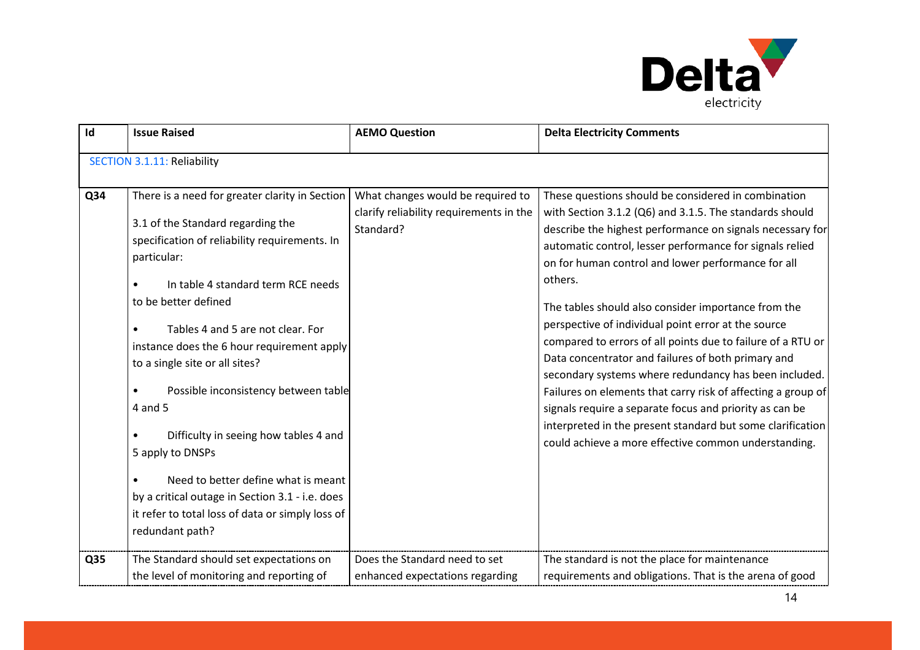

| Id         | <b>Issue Raised</b>                                                                                                                                                                                                                                                                                                                                                                                                                                                                                                                                                                                                                                                             | <b>AEMO Question</b>                                                                                                       | <b>Delta Electricity Comments</b>                                                                                                                                                                                                                                                                                                                                                                                                                                                                                                                                                                                                                                                                                                                                                                                                                                                                      |  |
|------------|---------------------------------------------------------------------------------------------------------------------------------------------------------------------------------------------------------------------------------------------------------------------------------------------------------------------------------------------------------------------------------------------------------------------------------------------------------------------------------------------------------------------------------------------------------------------------------------------------------------------------------------------------------------------------------|----------------------------------------------------------------------------------------------------------------------------|--------------------------------------------------------------------------------------------------------------------------------------------------------------------------------------------------------------------------------------------------------------------------------------------------------------------------------------------------------------------------------------------------------------------------------------------------------------------------------------------------------------------------------------------------------------------------------------------------------------------------------------------------------------------------------------------------------------------------------------------------------------------------------------------------------------------------------------------------------------------------------------------------------|--|
|            | <b>SECTION 3.1.11: Reliability</b>                                                                                                                                                                                                                                                                                                                                                                                                                                                                                                                                                                                                                                              |                                                                                                                            |                                                                                                                                                                                                                                                                                                                                                                                                                                                                                                                                                                                                                                                                                                                                                                                                                                                                                                        |  |
| Q34<br>Q35 | There is a need for greater clarity in Section<br>3.1 of the Standard regarding the<br>specification of reliability requirements. In<br>particular:<br>In table 4 standard term RCE needs<br>to be better defined<br>Tables 4 and 5 are not clear. For<br>instance does the 6 hour requirement apply<br>to a single site or all sites?<br>Possible inconsistency between table<br>$\bullet$<br>4 and 5<br>Difficulty in seeing how tables 4 and<br>5 apply to DNSPs<br>Need to better define what is meant<br>by a critical outage in Section 3.1 - i.e. does<br>it refer to total loss of data or simply loss of<br>redundant path?<br>The Standard should set expectations on | What changes would be required to<br>clarify reliability requirements in the<br>Standard?<br>Does the Standard need to set | These questions should be considered in combination<br>with Section 3.1.2 (Q6) and 3.1.5. The standards should<br>describe the highest performance on signals necessary for<br>automatic control, lesser performance for signals relied<br>on for human control and lower performance for all<br>others.<br>The tables should also consider importance from the<br>perspective of individual point error at the source<br>compared to errors of all points due to failure of a RTU or<br>Data concentrator and failures of both primary and<br>secondary systems where redundancy has been included.<br>Failures on elements that carry risk of affecting a group of<br>signals require a separate focus and priority as can be<br>interpreted in the present standard but some clarification<br>could achieve a more effective common understanding.<br>The standard is not the place for maintenance |  |
|            | the level of monitoring and reporting of                                                                                                                                                                                                                                                                                                                                                                                                                                                                                                                                                                                                                                        | enhanced expectations regarding                                                                                            | requirements and obligations. That is the arena of good                                                                                                                                                                                                                                                                                                                                                                                                                                                                                                                                                                                                                                                                                                                                                                                                                                                |  |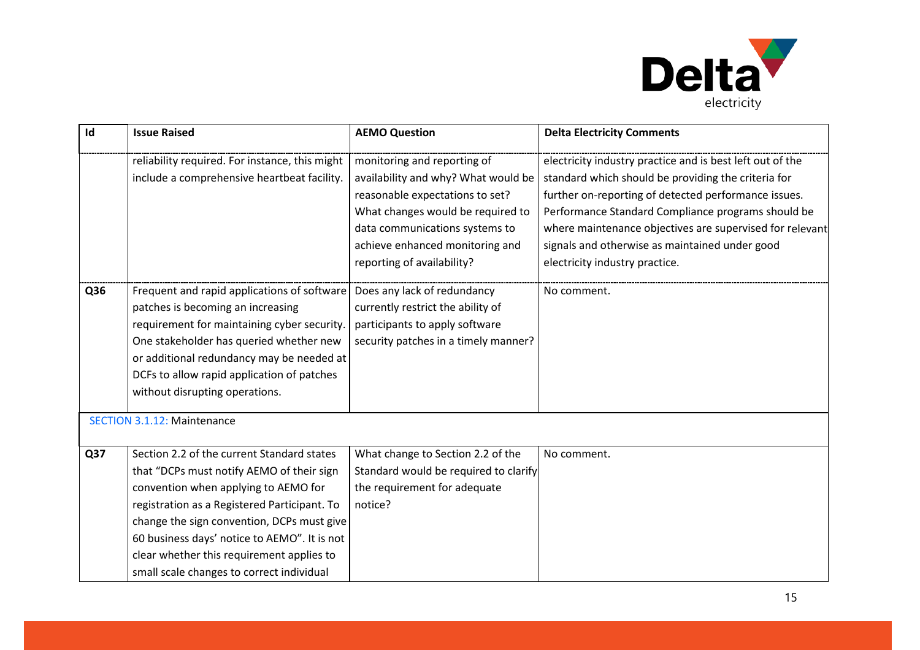

| Id  | <b>Issue Raised</b>                                                                                                                                                                                                                                                                                                                                                     | <b>AEMO Question</b>                                                                                                                                                                                                                          | <b>Delta Electricity Comments</b>                                                                                                                                                                                                                                                                                                                                              |
|-----|-------------------------------------------------------------------------------------------------------------------------------------------------------------------------------------------------------------------------------------------------------------------------------------------------------------------------------------------------------------------------|-----------------------------------------------------------------------------------------------------------------------------------------------------------------------------------------------------------------------------------------------|--------------------------------------------------------------------------------------------------------------------------------------------------------------------------------------------------------------------------------------------------------------------------------------------------------------------------------------------------------------------------------|
|     | reliability required. For instance, this might<br>include a comprehensive heartbeat facility.                                                                                                                                                                                                                                                                           | monitoring and reporting of<br>availability and why? What would be<br>reasonable expectations to set?<br>What changes would be required to<br>data communications systems to<br>achieve enhanced monitoring and<br>reporting of availability? | electricity industry practice and is best left out of the<br>standard which should be providing the criteria for<br>further on-reporting of detected performance issues.<br>Performance Standard Compliance programs should be<br>where maintenance objectives are supervised for relevant<br>signals and otherwise as maintained under good<br>electricity industry practice. |
| Q36 | Frequent and rapid applications of software<br>patches is becoming an increasing<br>requirement for maintaining cyber security.<br>One stakeholder has queried whether new<br>or additional redundancy may be needed at<br>DCFs to allow rapid application of patches<br>without disrupting operations.                                                                 | Does any lack of redundancy<br>currently restrict the ability of<br>participants to apply software<br>security patches in a timely manner?                                                                                                    | No comment.                                                                                                                                                                                                                                                                                                                                                                    |
|     | <b>SECTION 3.1.12: Maintenance</b>                                                                                                                                                                                                                                                                                                                                      |                                                                                                                                                                                                                                               |                                                                                                                                                                                                                                                                                                                                                                                |
| Q37 | Section 2.2 of the current Standard states<br>that "DCPs must notify AEMO of their sign<br>convention when applying to AEMO for<br>registration as a Registered Participant. To<br>change the sign convention, DCPs must give<br>60 business days' notice to AEMO". It is not<br>clear whether this requirement applies to<br>small scale changes to correct individual | What change to Section 2.2 of the<br>Standard would be required to clarify<br>the requirement for adequate<br>notice?                                                                                                                         | No comment.                                                                                                                                                                                                                                                                                                                                                                    |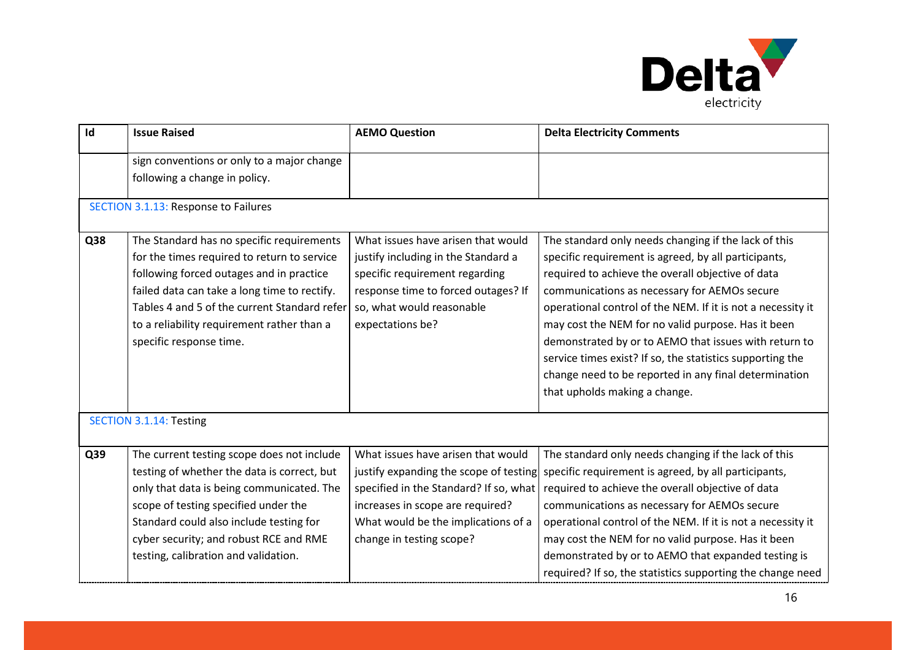

| Id  | <b>Issue Raised</b>                                                                                                                                                                                                                                                                                           | <b>AEMO Question</b>                                                                                                                                                                                                          | <b>Delta Electricity Comments</b>                                                                                                                                                                                                                                                                                                                                                                                                                                                                                                                      |  |
|-----|---------------------------------------------------------------------------------------------------------------------------------------------------------------------------------------------------------------------------------------------------------------------------------------------------------------|-------------------------------------------------------------------------------------------------------------------------------------------------------------------------------------------------------------------------------|--------------------------------------------------------------------------------------------------------------------------------------------------------------------------------------------------------------------------------------------------------------------------------------------------------------------------------------------------------------------------------------------------------------------------------------------------------------------------------------------------------------------------------------------------------|--|
|     | sign conventions or only to a major change<br>following a change in policy.                                                                                                                                                                                                                                   |                                                                                                                                                                                                                               |                                                                                                                                                                                                                                                                                                                                                                                                                                                                                                                                                        |  |
|     | <b>SECTION 3.1.13: Response to Failures</b>                                                                                                                                                                                                                                                                   |                                                                                                                                                                                                                               |                                                                                                                                                                                                                                                                                                                                                                                                                                                                                                                                                        |  |
| Q38 | The Standard has no specific requirements<br>for the times required to return to service<br>following forced outages and in practice<br>failed data can take a long time to rectify.<br>Tables 4 and 5 of the current Standard refer<br>to a reliability requirement rather than a<br>specific response time. | What issues have arisen that would<br>justify including in the Standard a<br>specific requirement regarding<br>response time to forced outages? If<br>so, what would reasonable<br>expectations be?                           | The standard only needs changing if the lack of this<br>specific requirement is agreed, by all participants,<br>required to achieve the overall objective of data<br>communications as necessary for AEMOs secure<br>operational control of the NEM. If it is not a necessity it<br>may cost the NEM for no valid purpose. Has it been<br>demonstrated by or to AEMO that issues with return to<br>service times exist? If so, the statistics supporting the<br>change need to be reported in any final determination<br>that upholds making a change. |  |
|     | <b>SECTION 3.1.14: Testing</b>                                                                                                                                                                                                                                                                                |                                                                                                                                                                                                                               |                                                                                                                                                                                                                                                                                                                                                                                                                                                                                                                                                        |  |
| Q39 | The current testing scope does not include<br>testing of whether the data is correct, but<br>only that data is being communicated. The<br>scope of testing specified under the<br>Standard could also include testing for<br>cyber security; and robust RCE and RME<br>testing, calibration and validation.   | What issues have arisen that would<br>justify expanding the scope of testing<br>specified in the Standard? If so, what<br>increases in scope are required?<br>What would be the implications of a<br>change in testing scope? | The standard only needs changing if the lack of this<br>specific requirement is agreed, by all participants,<br>required to achieve the overall objective of data<br>communications as necessary for AEMOs secure<br>operational control of the NEM. If it is not a necessity it<br>may cost the NEM for no valid purpose. Has it been<br>demonstrated by or to AEMO that expanded testing is<br>required? If so, the statistics supporting the change need                                                                                            |  |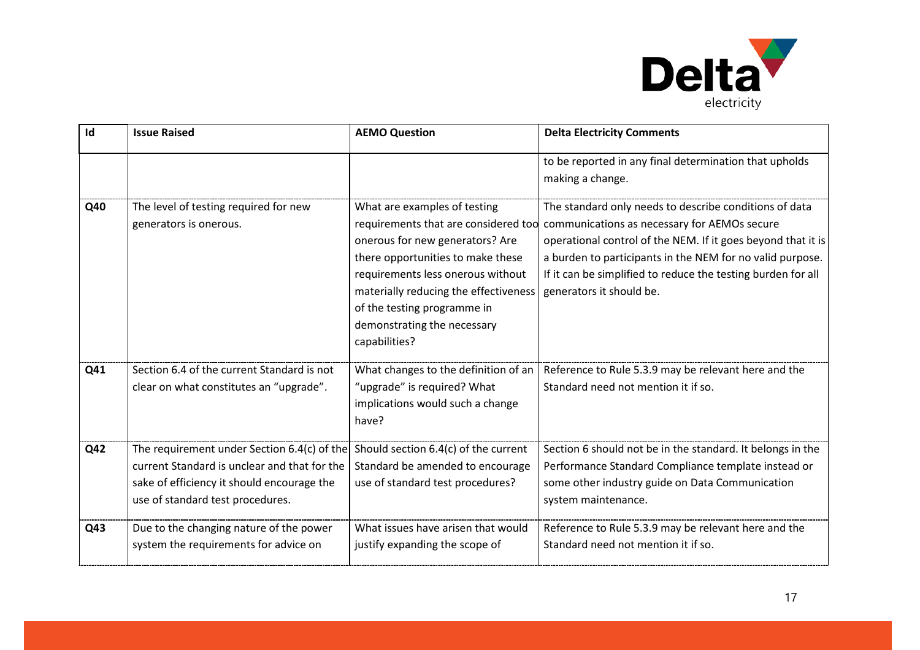

| Id  | <b>Issue Raised</b>                                                                                                                                                           | <b>AEMO Question</b>                                                                                                                                                                                                                                                                                      | <b>Delta Electricity Comments</b>                                                                                                                                                                                                                                                                                               |
|-----|-------------------------------------------------------------------------------------------------------------------------------------------------------------------------------|-----------------------------------------------------------------------------------------------------------------------------------------------------------------------------------------------------------------------------------------------------------------------------------------------------------|---------------------------------------------------------------------------------------------------------------------------------------------------------------------------------------------------------------------------------------------------------------------------------------------------------------------------------|
|     |                                                                                                                                                                               |                                                                                                                                                                                                                                                                                                           | to be reported in any final determination that upholds<br>making a change.                                                                                                                                                                                                                                                      |
| Q40 | The level of testing required for new<br>generators is onerous.                                                                                                               | What are examples of testing<br>requirements that are considered too<br>onerous for new generators? Are<br>there opportunities to make these<br>requirements less onerous without<br>materially reducing the effectiveness<br>of the testing programme in<br>demonstrating the necessary<br>capabilities? | The standard only needs to describe conditions of data<br>communications as necessary for AEMOs secure<br>operational control of the NEM. If it goes beyond that it is<br>a burden to participants in the NEM for no valid purpose.<br>If it can be simplified to reduce the testing burden for all<br>generators it should be. |
| Q41 | Section 6.4 of the current Standard is not<br>clear on what constitutes an "upgrade".                                                                                         | What changes to the definition of an<br>"upgrade" is required? What<br>implications would such a change<br>have?                                                                                                                                                                                          | Reference to Rule 5.3.9 may be relevant here and the<br>Standard need not mention it if so.                                                                                                                                                                                                                                     |
| Q42 | The requirement under Section 6.4(c) of the<br>current Standard is unclear and that for the<br>sake of efficiency it should encourage the<br>use of standard test procedures. | Should section 6.4(c) of the current<br>Standard be amended to encourage<br>use of standard test procedures?                                                                                                                                                                                              | Section 6 should not be in the standard. It belongs in the<br>Performance Standard Compliance template instead or<br>some other industry guide on Data Communication<br>system maintenance.                                                                                                                                     |
| Q43 | Due to the changing nature of the power<br>system the requirements for advice on                                                                                              | What issues have arisen that would<br>justify expanding the scope of                                                                                                                                                                                                                                      | Reference to Rule 5.3.9 may be relevant here and the<br>Standard need not mention it if so.                                                                                                                                                                                                                                     |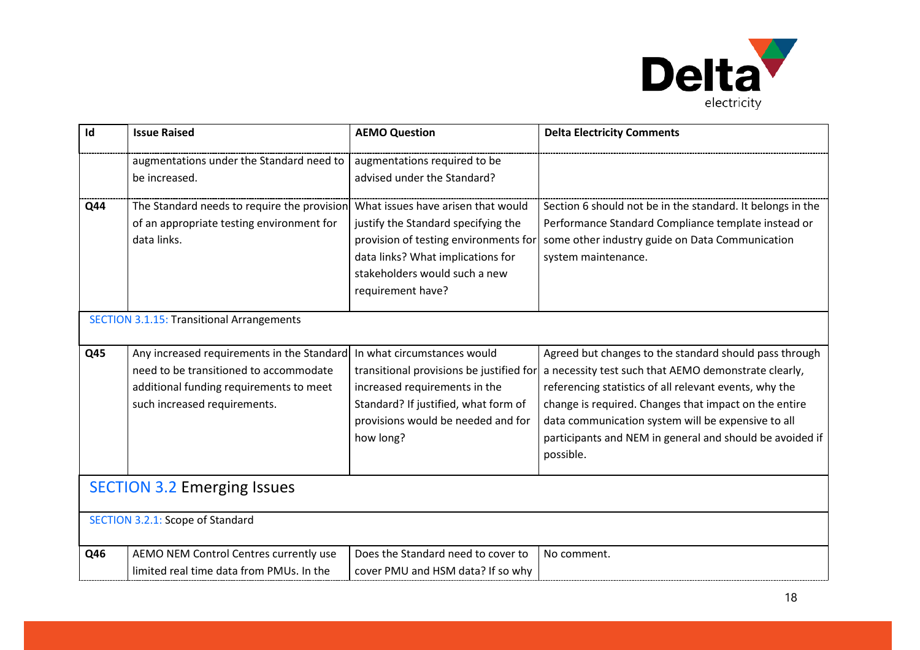

| Id  | <b>Issue Raised</b>                                                                                                                                             | <b>AEMO Question</b>                                                                                                                                                                                          | <b>Delta Electricity Comments</b>                                                                                                                                                                                                                                                                                                                                |
|-----|-----------------------------------------------------------------------------------------------------------------------------------------------------------------|---------------------------------------------------------------------------------------------------------------------------------------------------------------------------------------------------------------|------------------------------------------------------------------------------------------------------------------------------------------------------------------------------------------------------------------------------------------------------------------------------------------------------------------------------------------------------------------|
|     | augmentations under the Standard need to<br>be increased.                                                                                                       | augmentations required to be<br>advised under the Standard?                                                                                                                                                   |                                                                                                                                                                                                                                                                                                                                                                  |
| Q44 | The Standard needs to require the provision<br>of an appropriate testing environment for<br>data links.                                                         | What issues have arisen that would<br>justify the Standard specifying the<br>provision of testing environments for<br>data links? What implications for<br>stakeholders would such a new<br>requirement have? | Section 6 should not be in the standard. It belongs in the<br>Performance Standard Compliance template instead or<br>some other industry guide on Data Communication<br>system maintenance.                                                                                                                                                                      |
|     | <b>SECTION 3.1.15: Transitional Arrangements</b>                                                                                                                |                                                                                                                                                                                                               |                                                                                                                                                                                                                                                                                                                                                                  |
| Q45 | Any increased requirements in the Standard<br>need to be transitioned to accommodate<br>additional funding requirements to meet<br>such increased requirements. | In what circumstances would<br>transitional provisions be justified for<br>increased requirements in the<br>Standard? If justified, what form of<br>provisions would be needed and for<br>how long?           | Agreed but changes to the standard should pass through<br>a necessity test such that AEMO demonstrate clearly,<br>referencing statistics of all relevant events, why the<br>change is required. Changes that impact on the entire<br>data communication system will be expensive to all<br>participants and NEM in general and should be avoided if<br>possible. |
|     | <b>SECTION 3.2 Emerging Issues</b>                                                                                                                              |                                                                                                                                                                                                               |                                                                                                                                                                                                                                                                                                                                                                  |
|     | SECTION 3.2.1: Scope of Standard                                                                                                                                |                                                                                                                                                                                                               |                                                                                                                                                                                                                                                                                                                                                                  |
| Q46 | AEMO NEM Control Centres currently use<br>limited real time data from PMUs. In the                                                                              | Does the Standard need to cover to<br>cover PMU and HSM data? If so why                                                                                                                                       | No comment.                                                                                                                                                                                                                                                                                                                                                      |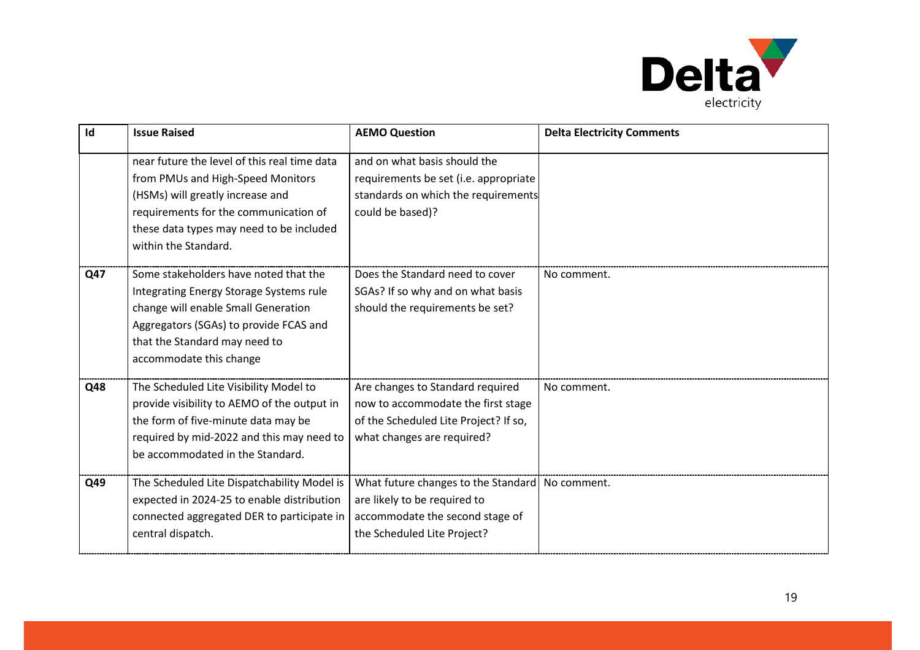

| Id  | <b>Issue Raised</b>                                                                                                                                                                                                                | <b>AEMO Question</b>                                                                                                                                | <b>Delta Electricity Comments</b> |
|-----|------------------------------------------------------------------------------------------------------------------------------------------------------------------------------------------------------------------------------------|-----------------------------------------------------------------------------------------------------------------------------------------------------|-----------------------------------|
|     | near future the level of this real time data<br>from PMUs and High-Speed Monitors<br>(HSMs) will greatly increase and<br>requirements for the communication of<br>these data types may need to be included<br>within the Standard. | and on what basis should the<br>requirements be set (i.e. appropriate<br>standards on which the requirements<br>could be based)?                    |                                   |
| Q47 | Some stakeholders have noted that the<br>Integrating Energy Storage Systems rule<br>change will enable Small Generation<br>Aggregators (SGAs) to provide FCAS and<br>that the Standard may need to<br>accommodate this change      | Does the Standard need to cover<br>SGAs? If so why and on what basis<br>should the requirements be set?                                             | No comment.                       |
| Q48 | The Scheduled Lite Visibility Model to<br>provide visibility to AEMO of the output in<br>the form of five-minute data may be<br>required by mid-2022 and this may need to<br>be accommodated in the Standard.                      | Are changes to Standard required<br>now to accommodate the first stage<br>of the Scheduled Lite Project? If so,<br>what changes are required?       | No comment.                       |
| Q49 | The Scheduled Lite Dispatchability Model is<br>expected in 2024-25 to enable distribution<br>connected aggregated DER to participate in<br>central dispatch.                                                                       | What future changes to the Standard   No comment.<br>are likely to be required to<br>accommodate the second stage of<br>the Scheduled Lite Project? |                                   |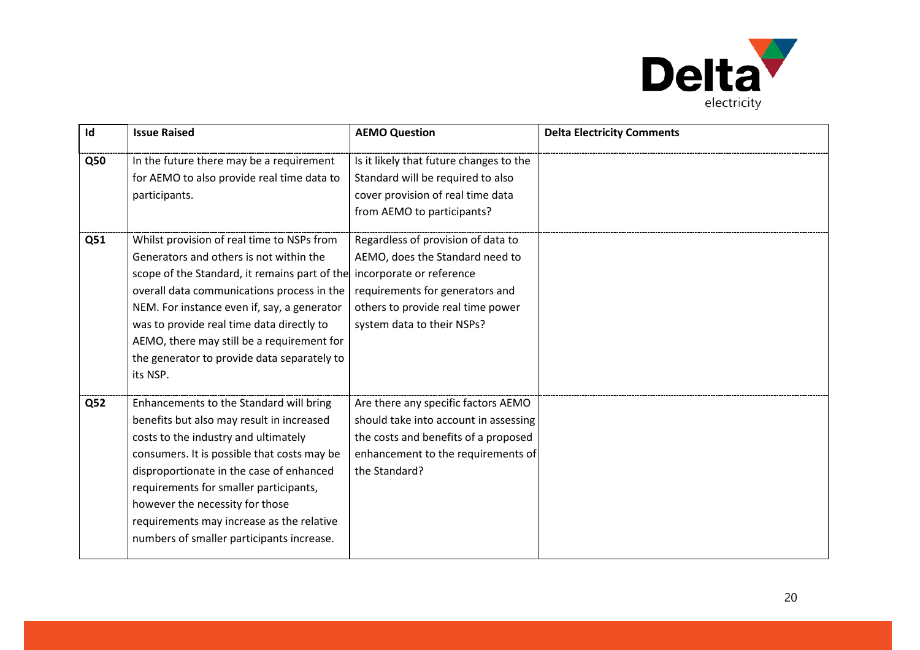

| Id         | <b>Issue Raised</b>                                                                                                                                                                                                                                                                                                                                                                            | <b>AEMO Question</b>                                                                                                                                                                                    | <b>Delta Electricity Comments</b> |
|------------|------------------------------------------------------------------------------------------------------------------------------------------------------------------------------------------------------------------------------------------------------------------------------------------------------------------------------------------------------------------------------------------------|---------------------------------------------------------------------------------------------------------------------------------------------------------------------------------------------------------|-----------------------------------|
| <b>Q50</b> | In the future there may be a requirement<br>for AEMO to also provide real time data to<br>participants.                                                                                                                                                                                                                                                                                        | Is it likely that future changes to the<br>Standard will be required to also<br>cover provision of real time data<br>from AEMO to participants?                                                         |                                   |
| Q51        | Whilst provision of real time to NSPs from<br>Generators and others is not within the<br>scope of the Standard, it remains part of the<br>overall data communications process in the<br>NEM. For instance even if, say, a generator<br>was to provide real time data directly to<br>AEMO, there may still be a requirement for<br>the generator to provide data separately to<br>its NSP.      | Regardless of provision of data to<br>AEMO, does the Standard need to<br>incorporate or reference<br>requirements for generators and<br>others to provide real time power<br>system data to their NSPs? |                                   |
| <b>Q52</b> | Enhancements to the Standard will bring<br>benefits but also may result in increased<br>costs to the industry and ultimately<br>consumers. It is possible that costs may be<br>disproportionate in the case of enhanced<br>requirements for smaller participants,<br>however the necessity for those<br>requirements may increase as the relative<br>numbers of smaller participants increase. | Are there any specific factors AEMO<br>should take into account in assessing<br>the costs and benefits of a proposed<br>enhancement to the requirements of<br>the Standard?                             |                                   |